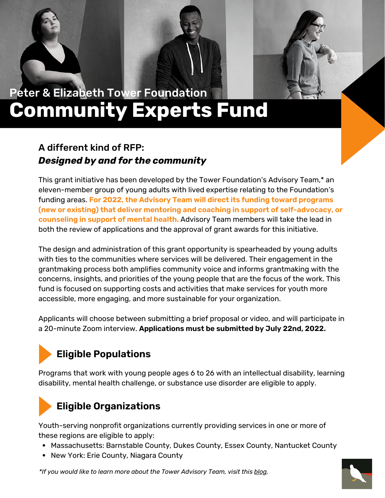

### A different kind of RFP: *Designed by and for the community*

This grant initiative has been developed by the Tower Foundation's Advisory Team,\* an eleven-member group of young adults with lived expertise relating to the Foundation's funding areas. **For 2022, the Advisory Team will direct its funding toward programs (new or existing) that deliver mentoring and coaching in support of self-advocacy, or counseling in support of mental health.** Advisory Team members will take the lead in both the review of applications and the approval of grant awards for this initiative.

The design and administration of this grant opportunity is spearheaded by young adults with ties to the communities where services will be delivered. Their engagement in the grantmaking process both amplifies community voice and informs grantmaking with the concerns, insights, and priorities of the young people that are the focus of the work. This fund is focused on supporting costs and activities that make services for youth more accessible, more engaging, and more sustainable for your organization.

Applicants will choose between submitting a brief proposal or video, and will participate in a 20-minute Zoom interview. **Applications must be submitted by July 22nd, 2022.**

# **Eligible Populations**

Programs that work with young people ages 6 to 26 with an intellectual disability, learning disability, mental health challenge, or substance use disorder are eligible to apply.

# **Eligible Organizations**

Youth-serving nonprofit organizations currently providing services in one or more of these regions are eligible to apply:

- Massachusetts: Barnstable County, Dukes County, Essex County, Nantucket County
- New York: Erie County, Niagara County

*\*If you would like to learn more about the Tower Advisory Team, visit this [blog](https://thetowerfoundation.org/2022/02/18/changes-advisory-team-2022/).*

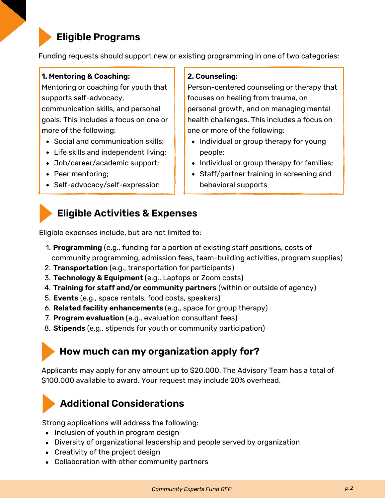# **Eligible Programs**

Funding requests should support new or existing programming in one of two categories:

### **1. Mentoring & Coaching:**

Mentoring or coaching for youth that supports self-advocacy,

communication skills, and personal goals. This includes a focus on one or more of the following:

- Social and communication skills:
- Life skills and independent living;
- Job/career/academic support;
- Peer mentoring;
- Self-advocacy/self-expression

### **2. Counseling:**

Person-centered counseling or therapy that focuses on healing from trauma, on personal growth, and on managing mental health challenges. This includes a focus on one or more of the following:

- Individual or group therapy for young people;
- Individual or group therapy for families;
- Staff/partner training in screening and behavioral supports

### **Eligible Activities & Expenses**

Eligible expenses include, but are not limited to:

- **Programming** (e.g., funding for a portion of existing staff positions, costs of 1. community programming, admission fees, team-building activities, program supplies)
- **Transportation** (e.g., transportation for participants) 2.
- **Technology & Equipment** (e.g., Laptops or Zoom costs) 3.
- **Training for staff and/or community partners** (within or outside of agency) 4.
- **Events** (e.g., space rentals, food costs, speakers) 5.
- **Related facility enhancements** (e.g., space for group therapy) 6.
- **Program evaluation** (e.g., evaluation consultant fees) 7.
- **Stipends** (e.g., stipends for youth or community participation) 8.

# **How much can my organization apply for?**

Applicants may apply for any amount up to \$20,000. The Advisory Team has a total of \$100,000 available to award. Your request may include 20% overhead.

# **Additional Considerations**

Strong applications will address the following:

- Inclusion of youth in program design
- Diversity of organizational leadership and people served by organization
- Creativity of the project design
- Collaboration with other community partners